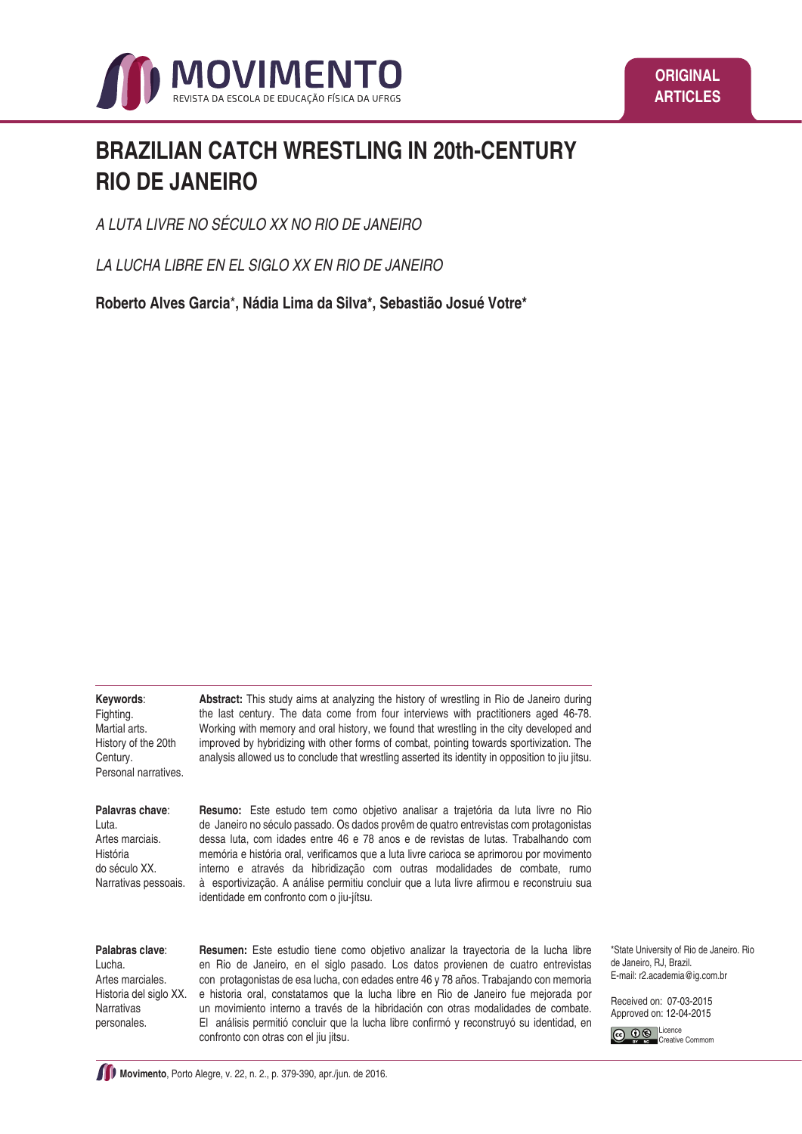

# **BRAZILIAN CATCH WRESTLING IN 20th-CENTURY RIO DE JANEIRO**

*A LUTA LIVRE NO SÉCULO XX NO RIO DE JANEIRO*

*LA LUCHA LIBRE EN EL SIGLO XX EN RIO DE JANEIRO*

**Roberto Alves Garcia**\***, Nádia Lima da Silva\*, Sebastião Josué Votre\***

**Keywords**:

Fighting. Martial arts. History of the 20th Century. Personal narratives.

**Abstract:** This study aims at analyzing the history of wrestling in Rio de Janeiro during the last century. The data come from four interviews with practitioners aged 46-78. Working with memory and oral history, we found that wrestling in the city developed and improved by hybridizing with other forms of combat, pointing towards sportivization. The analysis allowed us to conclude that wrestling asserted its identity in opposition to jiu jitsu.

**Palavras chave**:

Luta. Artes marciais. História do século XX. Narrativas pessoais. **Resumo:** Este estudo tem como objetivo analisar a trajetória da luta livre no Rio de Janeiro no século passado. Os dados provêm de quatro entrevistas com protagonistas dessa luta, com idades entre 46 e 78 anos e de revistas de lutas. Trabalhando com memória e história oral, verificamos que a luta livre carioca se aprimorou por movimento interno e através da hibridização com outras modalidades de combate, rumo à esportivização. A análise permitiu concluir que a luta livre afirmou e reconstruiu sua identidade em confronto com o jiu-jítsu.

#### **Palabras clave**:

Lucha. Artes marciales. Historia del siglo XX. Narrativas personales.

**Resumen:** Este estudio tiene como objetivo analizar la trayectoria de la lucha libre en Rio de Janeiro, en el siglo pasado. Los datos provienen de cuatro entrevistas con protagonistas de esa lucha, con edades entre 46 y 78 años. Trabajando con memoria e historia oral, constatamos que la lucha libre en Rio de Janeiro fue mejorada por un movimiento interno a través de la hibridación con otras modalidades de combate. El análisis permitió concluir que la lucha libre confirmó y reconstruyó su identidad, en confronto con otras con el jiu jitsu.

\*State University of Rio de Janeiro. Rio de Janeiro, RJ, Brazil. E-mail: r2.academia@ig.com.br

Received on: 07-03-2015 Approved on: 12-04-2015

C **00** Licence Creative Commom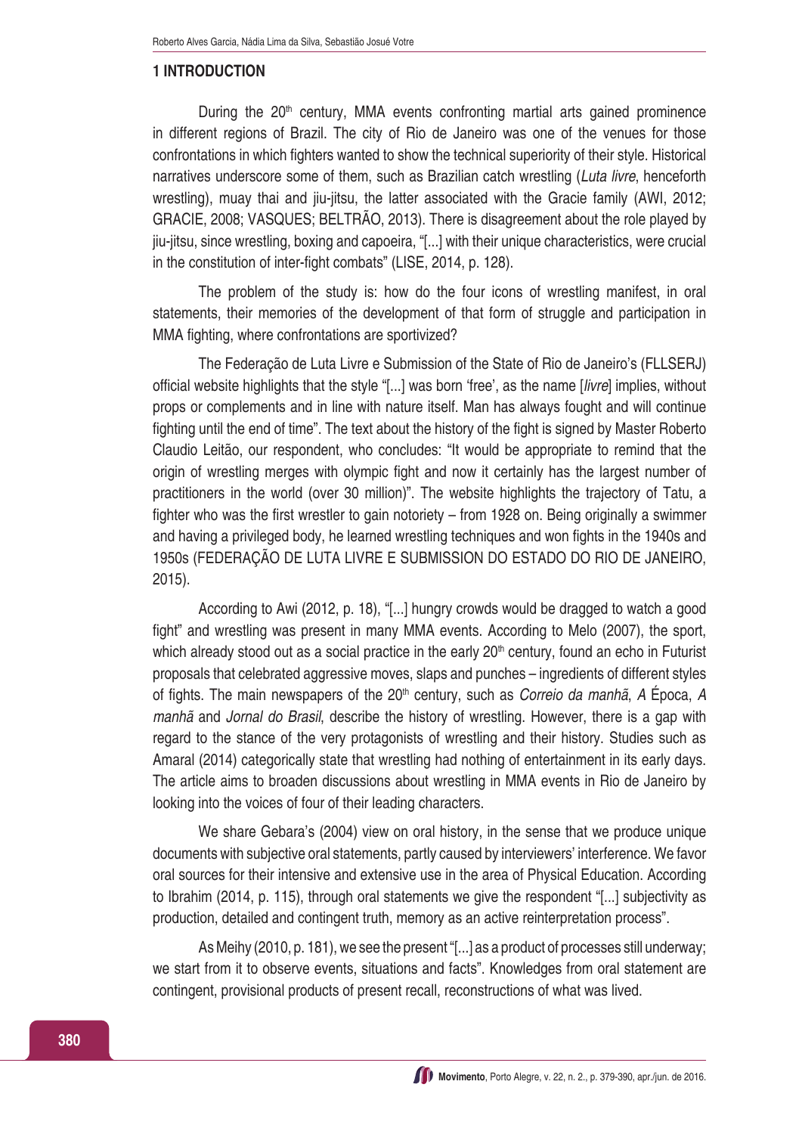#### **1 INTRODUCTION**

During the  $20<sup>th</sup>$  century, MMA events confronting martial arts gained prominence in different regions of Brazil. The city of Rio de Janeiro was one of the venues for those confrontations in which fighters wanted to show the technical superiority of their style. Historical narratives underscore some of them, such as Brazilian catch wrestling (*Luta livre*, henceforth wrestling), muay thai and jiu-jitsu, the latter associated with the Gracie family (AWI, 2012; GRACIE, 2008; VASQUES; BELTRÃO, 2013). There is disagreement about the role played by jiu-jitsu, since wrestling, boxing and capoeira, "[...] with their unique characteristics, were crucial in the constitution of inter-fight combats" (LISE, 2014, p. 128).

The problem of the study is: how do the four icons of wrestling manifest, in oral statements, their memories of the development of that form of struggle and participation in MMA fighting, where confrontations are sportivized?

The Federação de Luta Livre e Submission of the State of Rio de Janeiro's (FLLSERJ) official website highlights that the style "[...] was born 'free', as the name [*livre*] implies, without props or complements and in line with nature itself. Man has always fought and will continue fighting until the end of time". The text about the history of the fight is signed by Master Roberto Claudio Leitão, our respondent, who concludes: "It would be appropriate to remind that the origin of wrestling merges with olympic fight and now it certainly has the largest number of practitioners in the world (over 30 million)". The website highlights the trajectory of Tatu, a fighter who was the first wrestler to gain notoriety – from 1928 on. Being originally a swimmer and having a privileged body, he learned wrestling techniques and won fights in the 1940s and 1950s (FEDERAÇÃO DE LUTA LIVRE E SUBMISSION DO ESTADO DO RIO DE JANEIRO, 2015).

According to Awi (2012, p. 18), "[...] hungry crowds would be dragged to watch a good fight" and wrestling was present in many MMA events. According to Melo (2007), the sport, which already stood out as a social practice in the early  $20<sup>th</sup>$  century, found an echo in Futurist proposals that celebrated aggressive moves, slaps and punches – ingredients of different styles of fights. The main newspapers of the 20<sup>th</sup> century, such as *Correio da manhã*, A Época, A *manhã* and *Jornal do Brasil*, describe the history of wrestling. However, there is a gap with regard to the stance of the very protagonists of wrestling and their history. Studies such as Amaral (2014) categorically state that wrestling had nothing of entertainment in its early days. The article aims to broaden discussions about wrestling in MMA events in Rio de Janeiro by looking into the voices of four of their leading characters.

We share Gebara's (2004) view on oral history, in the sense that we produce unique documents with subjective oral statements, partly caused by interviewers' interference. We favor oral sources for their intensive and extensive use in the area of Physical Education. According to Ibrahim (2014, p. 115), through oral statements we give the respondent "[...] subjectivity as production, detailed and contingent truth, memory as an active reinterpretation process".

As Meihy (2010, p. 181), we see the present "[...] as a product of processes still underway; we start from it to observe events, situations and facts". Knowledges from oral statement are contingent, provisional products of present recall, reconstructions of what was lived.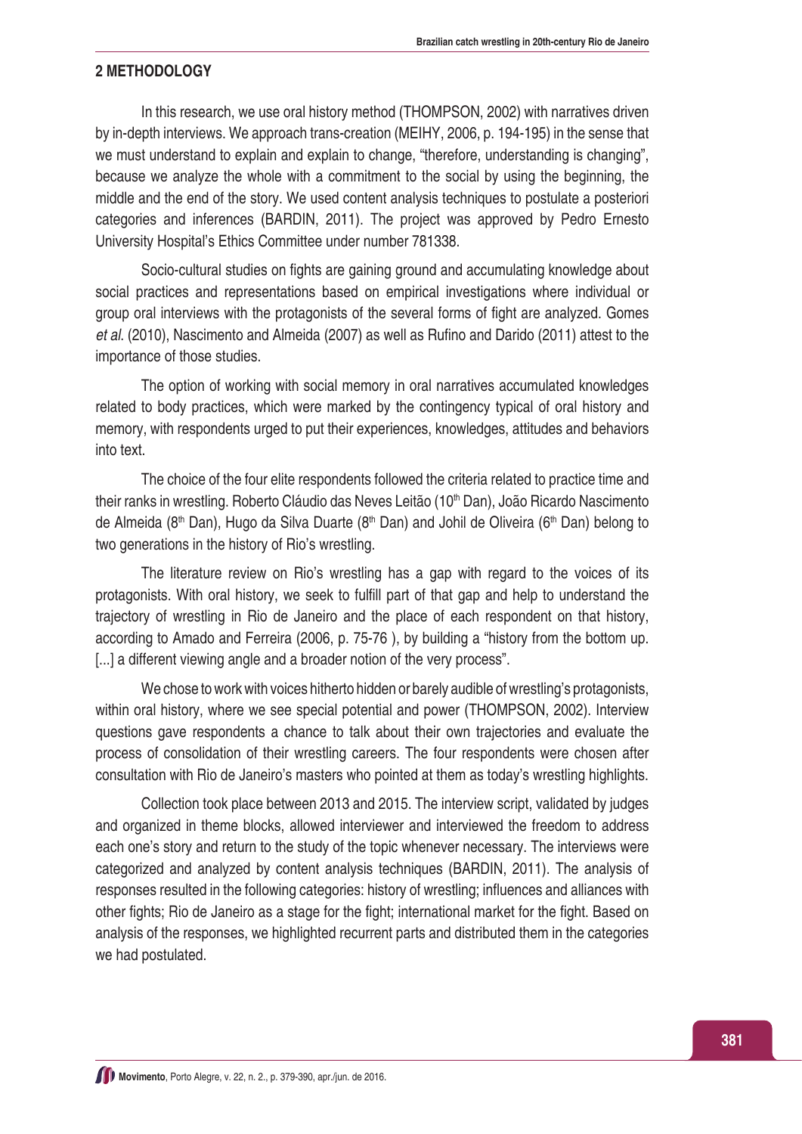### **2 METHODOLOGY**

In this research, we use oral history method (THOMPSON, 2002) with narratives driven by in-depth interviews. We approach trans-creation (MEIHY, 2006, p. 194-195) in the sense that we must understand to explain and explain to change, "therefore, understanding is changing", because we analyze the whole with a commitment to the social by using the beginning, the middle and the end of the story. We used content analysis techniques to postulate a posteriori categories and inferences (BARDIN, 2011). The project was approved by Pedro Ernesto University Hospital's Ethics Committee under number 781338.

Socio-cultural studies on fights are gaining ground and accumulating knowledge about social practices and representations based on empirical investigations where individual or group oral interviews with the protagonists of the several forms of fight are analyzed. Gomes *et al*. (2010), Nascimento and Almeida (2007) as well as Rufino and Darido (2011) attest to the importance of those studies.

The option of working with social memory in oral narratives accumulated knowledges related to body practices, which were marked by the contingency typical of oral history and memory, with respondents urged to put their experiences, knowledges, attitudes and behaviors into text.

The choice of the four elite respondents followed the criteria related to practice time and their ranks in wrestling. Roberto Cláudio das Neves Leitão (10<sup>th</sup> Dan), João Ricardo Nascimento de Almeida (8<sup>th</sup> Dan), Hugo da Silva Duarte (8<sup>th</sup> Dan) and Johil de Oliveira (6<sup>th</sup> Dan) belong to two generations in the history of Rio's wrestling.

The literature review on Rio's wrestling has a gap with regard to the voices of its protagonists. With oral history, we seek to fulfill part of that gap and help to understand the trajectory of wrestling in Rio de Janeiro and the place of each respondent on that history, according to Amado and Ferreira (2006, p. 75-76 ), by building a "history from the bottom up. [...] a different viewing angle and a broader notion of the very process".

We chose to work with voices hitherto hidden or barely audible of wrestling's protagonists, within oral history, where we see special potential and power (THOMPSON, 2002). Interview questions gave respondents a chance to talk about their own trajectories and evaluate the process of consolidation of their wrestling careers. The four respondents were chosen after consultation with Rio de Janeiro's masters who pointed at them as today's wrestling highlights.

Collection took place between 2013 and 2015. The interview script, validated by judges and organized in theme blocks, allowed interviewer and interviewed the freedom to address each one's story and return to the study of the topic whenever necessary. The interviews were categorized and analyzed by content analysis techniques (BARDIN, 2011). The analysis of responses resulted in the following categories: history of wrestling; influences and alliances with other fights; Rio de Janeiro as a stage for the fight; international market for the fight. Based on analysis of the responses, we highlighted recurrent parts and distributed them in the categories we had postulated.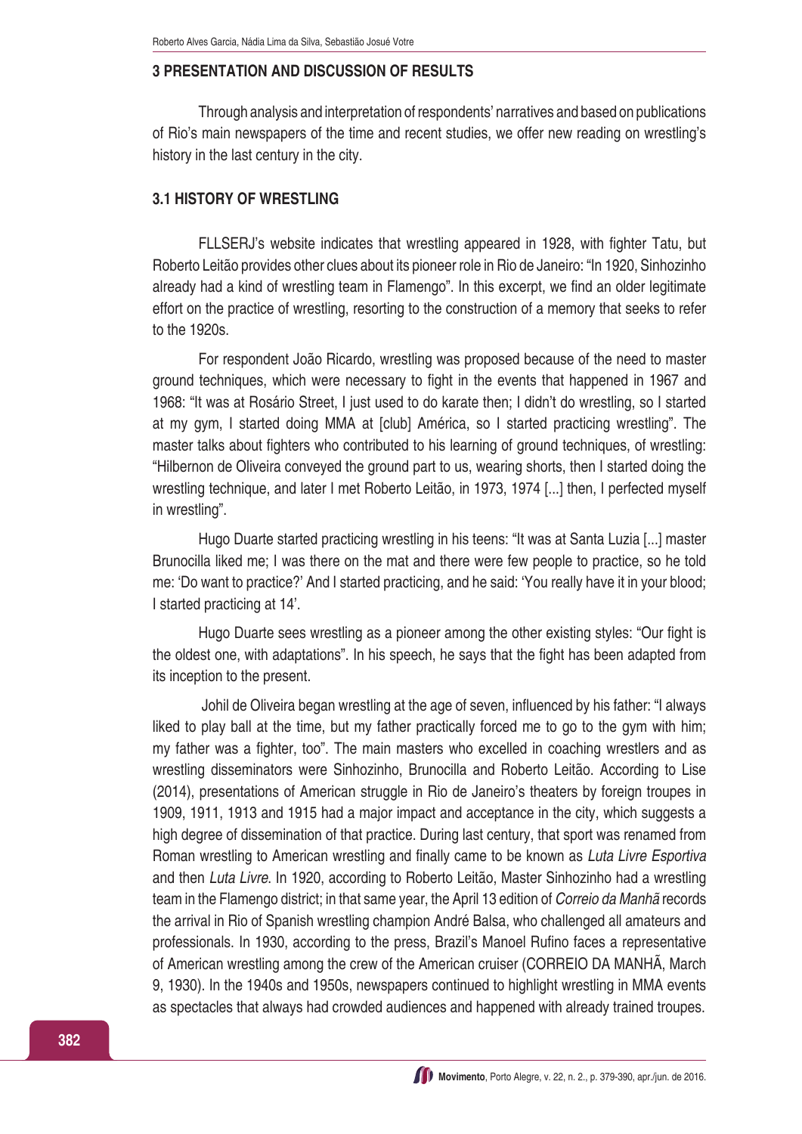#### **3 PRESENTATION AND DISCUSSION OF RESULTS**

Through analysis and interpretation of respondents' narratives and based on publications of Rio's main newspapers of the time and recent studies, we offer new reading on wrestling's history in the last century in the city.

# **3.1 HISTORY OF WRESTLING**

FLLSERJ's website indicates that wrestling appeared in 1928, with fighter Tatu, but Roberto Leitão provides other clues about its pioneer role in Rio de Janeiro: "In 1920, Sinhozinho already had a kind of wrestling team in Flamengo". In this excerpt, we find an older legitimate effort on the practice of wrestling, resorting to the construction of a memory that seeks to refer to the 1920s.

For respondent João Ricardo, wrestling was proposed because of the need to master ground techniques, which were necessary to fight in the events that happened in 1967 and 1968: "It was at Rosário Street, I just used to do karate then; I didn't do wrestling, so I started at my gym, I started doing MMA at [club] América, so I started practicing wrestling". The master talks about fighters who contributed to his learning of ground techniques, of wrestling: "Hilbernon de Oliveira conveyed the ground part to us, wearing shorts, then I started doing the wrestling technique, and later I met Roberto Leitão, in 1973, 1974 [...] then, I perfected myself in wrestling".

Hugo Duarte started practicing wrestling in his teens: "It was at Santa Luzia [...] master Brunocilla liked me; I was there on the mat and there were few people to practice, so he told me: 'Do want to practice?' And I started practicing, and he said: 'You really have it in your blood; I started practicing at 14'.

Hugo Duarte sees wrestling as a pioneer among the other existing styles: "Our fight is the oldest one, with adaptations". In his speech, he says that the fight has been adapted from its inception to the present.

Johil de Oliveira began wrestling at the age of seven, influenced by his father: "I always liked to play ball at the time, but my father practically forced me to go to the gym with him; my father was a fighter, too". The main masters who excelled in coaching wrestlers and as wrestling disseminators were Sinhozinho, Brunocilla and Roberto Leitão. According to Lise (2014), presentations of American struggle in Rio de Janeiro's theaters by foreign troupes in 1909, 1911, 1913 and 1915 had a major impact and acceptance in the city, which suggests a high degree of dissemination of that practice. During last century, that sport was renamed from Roman wrestling to American wrestling and finally came to be known as *Luta Livre Esportiva* and then *Luta Livre*. In 1920, according to Roberto Leitão, Master Sinhozinho had a wrestling team in the Flamengo district; in that same year, the April 13 edition of *Correio da Manhã* records the arrival in Rio of Spanish wrestling champion André Balsa, who challenged all amateurs and professionals. In 1930, according to the press, Brazil's Manoel Rufino faces a representative of American wrestling among the crew of the American cruiser (CORREIO DA MANHÃ, March 9, 1930). In the 1940s and 1950s, newspapers continued to highlight wrestling in MMA events as spectacles that always had crowded audiences and happened with already trained troupes.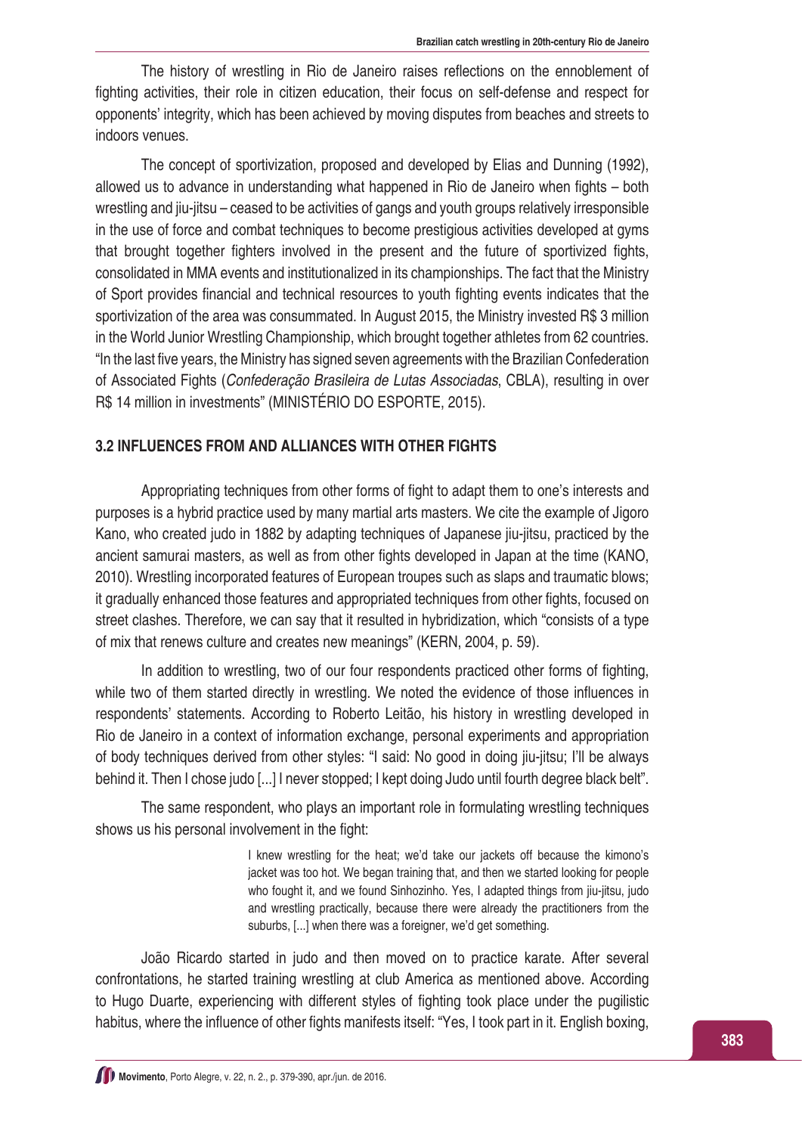The history of wrestling in Rio de Janeiro raises reflections on the ennoblement of fighting activities, their role in citizen education, their focus on self-defense and respect for opponents' integrity, which has been achieved by moving disputes from beaches and streets to indoors venues.

The concept of sportivization, proposed and developed by Elias and Dunning (1992), allowed us to advance in understanding what happened in Rio de Janeiro when fights – both wrestling and jiu-jitsu – ceased to be activities of gangs and youth groups relatively irresponsible in the use of force and combat techniques to become prestigious activities developed at gyms that brought together fighters involved in the present and the future of sportivized fights, consolidated in MMA events and institutionalized in its championships. The fact that the Ministry of Sport provides financial and technical resources to youth fighting events indicates that the sportivization of the area was consummated. In August 2015, the Ministry invested R\$ 3 million in the World Junior Wrestling Championship, which brought together athletes from 62 countries. "In the last five years, the Ministry has signed seven agreements with the Brazilian Confederation of Associated Fights (*Confederação Brasileira de Lutas Associadas*, CBLA), resulting in over R\$ 14 million in investments" (MINISTÉRIO DO ESPORTE, 2015).

#### **3.2 INFLUENCES FROM AND ALLIANCES WITH OTHER FIGHTS**

Appropriating techniques from other forms of fight to adapt them to one's interests and purposes is a hybrid practice used by many martial arts masters. We cite the example of Jigoro Kano, who created judo in 1882 by adapting techniques of Japanese jiu-jitsu, practiced by the ancient samurai masters, as well as from other fights developed in Japan at the time (KANO, 2010). Wrestling incorporated features of European troupes such as slaps and traumatic blows; it gradually enhanced those features and appropriated techniques from other fights, focused on street clashes. Therefore, we can say that it resulted in hybridization, which "consists of a type of mix that renews culture and creates new meanings" (KERN, 2004, p. 59).

In addition to wrestling, two of our four respondents practiced other forms of fighting, while two of them started directly in wrestling. We noted the evidence of those influences in respondents' statements. According to Roberto Leitão, his history in wrestling developed in Rio de Janeiro in a context of information exchange, personal experiments and appropriation of body techniques derived from other styles: "I said: No good in doing jiu-jitsu; I'll be always behind it. Then I chose judo [...] I never stopped; I kept doing Judo until fourth degree black belt".

The same respondent, who plays an important role in formulating wrestling techniques shows us his personal involvement in the fight:

> I knew wrestling for the heat; we'd take our jackets off because the kimono's jacket was too hot. We began training that, and then we started looking for people who fought it, and we found Sinhozinho. Yes, I adapted things from jiu-jitsu, judo and wrestling practically, because there were already the practitioners from the suburbs, [...] when there was a foreigner, we'd get something.

João Ricardo started in judo and then moved on to practice karate. After several confrontations, he started training wrestling at club America as mentioned above. According to Hugo Duarte, experiencing with different styles of fighting took place under the pugilistic habitus, where the influence of other fights manifests itself: "Yes, I took part in it. English boxing,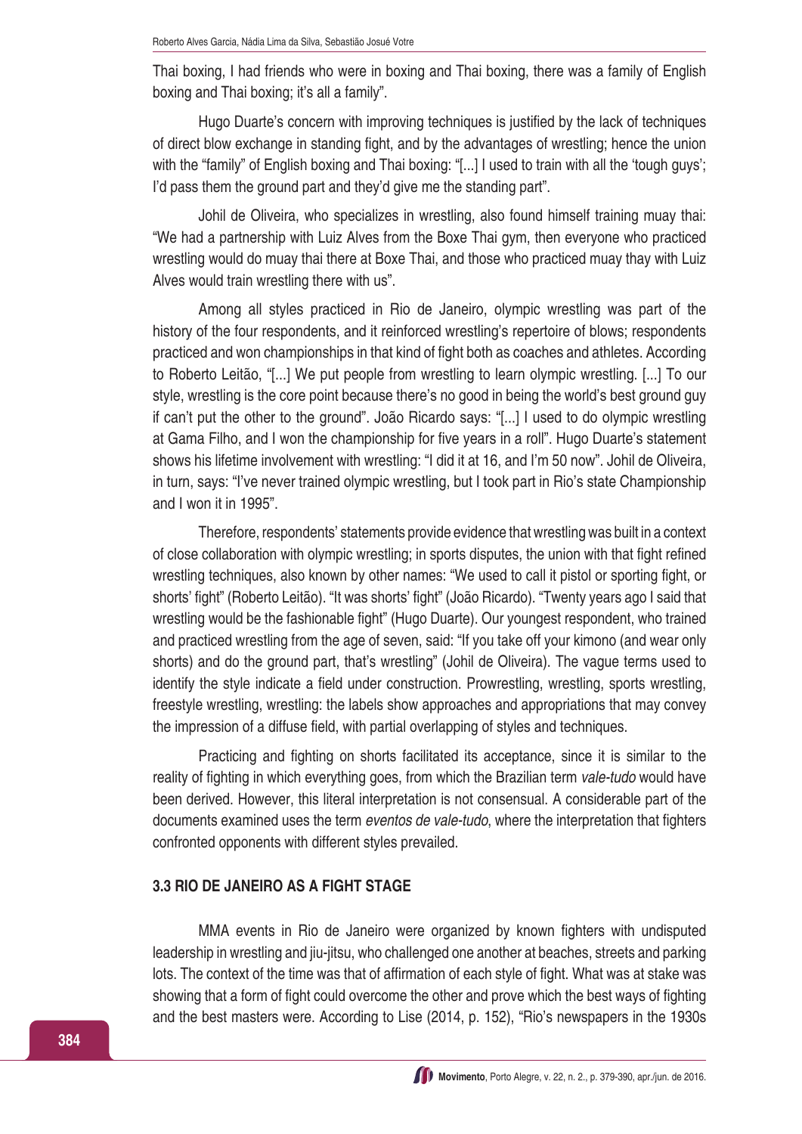Thai boxing, I had friends who were in boxing and Thai boxing, there was a family of English boxing and Thai boxing; it's all a family".

Hugo Duarte's concern with improving techniques is justified by the lack of techniques of direct blow exchange in standing fight, and by the advantages of wrestling; hence the union with the "family" of English boxing and Thai boxing: "[...] I used to train with all the 'tough guys'; I'd pass them the ground part and they'd give me the standing part".

Johil de Oliveira, who specializes in wrestling, also found himself training muay thai: "We had a partnership with Luiz Alves from the Boxe Thai gym, then everyone who practiced wrestling would do muay thai there at Boxe Thai, and those who practiced muay thay with Luiz Alves would train wrestling there with us".

Among all styles practiced in Rio de Janeiro, olympic wrestling was part of the history of the four respondents, and it reinforced wrestling's repertoire of blows; respondents practiced and won championships in that kind of fight both as coaches and athletes. According to Roberto Leitão, "[...] We put people from wrestling to learn olympic wrestling. [...] To our style, wrestling is the core point because there's no good in being the world's best ground guy if can't put the other to the ground". João Ricardo says: "[...] I used to do olympic wrestling at Gama Filho, and I won the championship for five years in a roll". Hugo Duarte's statement shows his lifetime involvement with wrestling: "I did it at 16, and I'm 50 now". Johil de Oliveira, in turn, says: "I've never trained olympic wrestling, but I took part in Rio's state Championship and I won it in 1995".

Therefore, respondents' statements provide evidence that wrestling was built in a context of close collaboration with olympic wrestling; in sports disputes, the union with that fight refined wrestling techniques, also known by other names: "We used to call it pistol or sporting fight, or shorts' fight" (Roberto Leitão). "It was shorts' fight" (João Ricardo). "Twenty years ago I said that wrestling would be the fashionable fight" (Hugo Duarte). Our youngest respondent, who trained and practiced wrestling from the age of seven, said: "If you take off your kimono (and wear only shorts) and do the ground part, that's wrestling" (Johil de Oliveira). The vague terms used to identify the style indicate a field under construction. Prowrestling, wrestling, sports wrestling, freestyle wrestling, wrestling: the labels show approaches and appropriations that may convey the impression of a diffuse field, with partial overlapping of styles and techniques.

Practicing and fighting on shorts facilitated its acceptance, since it is similar to the reality of fighting in which everything goes, from which the Brazilian term *vale-tudo* would have been derived. However, this literal interpretation is not consensual. A considerable part of the documents examined uses the term *eventos de vale-tudo*, where the interpretation that fighters confronted opponents with different styles prevailed.

#### **3.3 RIO DE JANEIRO AS A FIGHT STAGE**

MMA events in Rio de Janeiro were organized by known fighters with undisputed leadership in wrestling and jiu-jitsu, who challenged one another at beaches, streets and parking lots. The context of the time was that of affirmation of each style of fight. What was at stake was showing that a form of fight could overcome the other and prove which the best ways of fighting and the best masters were. According to Lise (2014, p. 152), "Rio's newspapers in the 1930s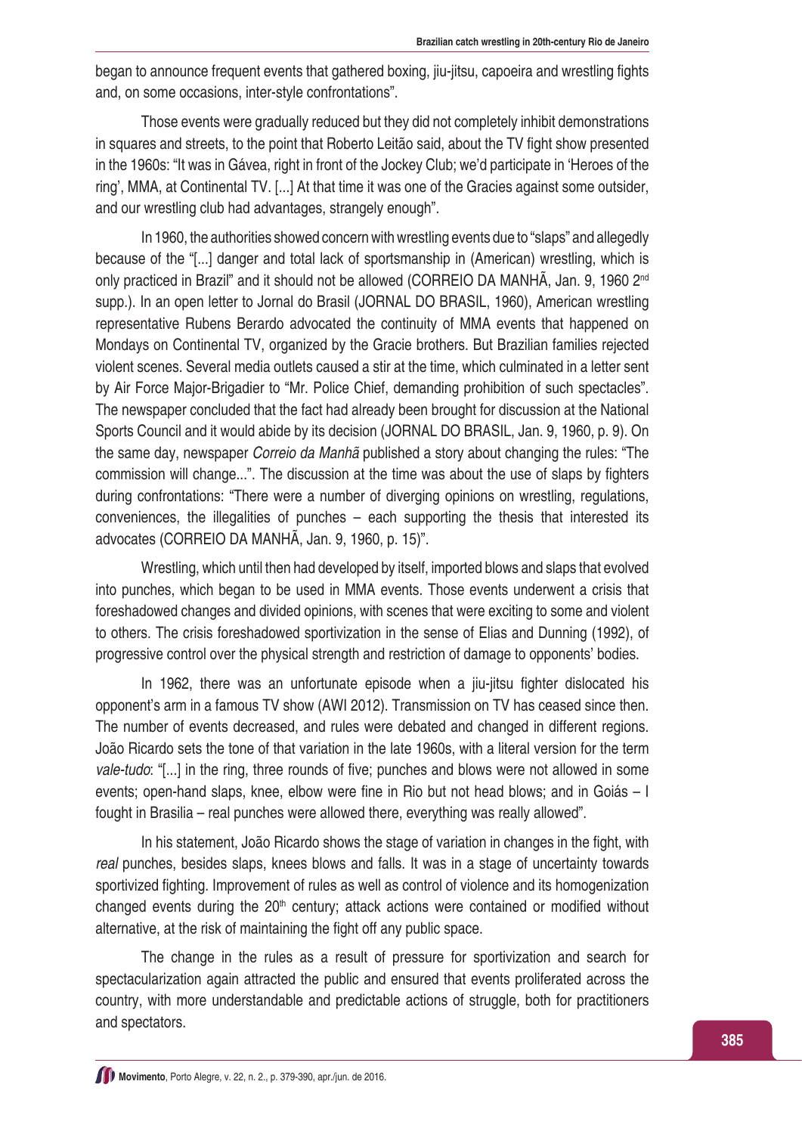began to announce frequent events that gathered boxing, jiu-jitsu, capoeira and wrestling fights and, on some occasions, inter-style confrontations".

Those events were gradually reduced but they did not completely inhibit demonstrations in squares and streets, to the point that Roberto Leitão said, about the TV fight show presented in the 1960s: "It was in Gávea, right in front of the Jockey Club; we'd participate in 'Heroes of the ring', MMA, at Continental TV. [...] At that time it was one of the Gracies against some outsider, and our wrestling club had advantages, strangely enough".

In 1960, the authorities showed concern with wrestling events due to "slaps" and allegedly because of the "[...] danger and total lack of sportsmanship in (American) wrestling, which is only practiced in Brazil" and it should not be allowed (CORREIO DA MANHÃ, Jan. 9, 1960 2nd supp.). In an open letter to Jornal do Brasil (JORNAL DO BRASIL, 1960), American wrestling representative Rubens Berardo advocated the continuity of MMA events that happened on Mondays on Continental TV, organized by the Gracie brothers. But Brazilian families rejected violent scenes. Several media outlets caused a stir at the time, which culminated in a letter sent by Air Force Major-Brigadier to "Mr. Police Chief, demanding prohibition of such spectacles". The newspaper concluded that the fact had already been brought for discussion at the National Sports Council and it would abide by its decision (JORNAL DO BRASIL, Jan. 9, 1960, p. 9). On the same day, newspaper *Correio da Manhã* published a story about changing the rules: "The commission will change...". The discussion at the time was about the use of slaps by fighters during confrontations: "There were a number of diverging opinions on wrestling, regulations, conveniences, the illegalities of punches – each supporting the thesis that interested its advocates (CORREIO DA MANHÃ, Jan. 9, 1960, p. 15)".

Wrestling, which until then had developed by itself, imported blows and slaps that evolved into punches, which began to be used in MMA events. Those events underwent a crisis that foreshadowed changes and divided opinions, with scenes that were exciting to some and violent to others. The crisis foreshadowed sportivization in the sense of Elias and Dunning (1992), of progressive control over the physical strength and restriction of damage to opponents' bodies.

In 1962, there was an unfortunate episode when a jiu-jitsu fighter dislocated his opponent's arm in a famous TV show (AWI 2012). Transmission on TV has ceased since then. The number of events decreased, and rules were debated and changed in different regions. João Ricardo sets the tone of that variation in the late 1960s, with a literal version for the term *vale-tudo*: "[...] in the ring, three rounds of five; punches and blows were not allowed in some events; open-hand slaps, knee, elbow were fine in Rio but not head blows; and in Goiás – I fought in Brasilia – real punches were allowed there, everything was really allowed".

In his statement, João Ricardo shows the stage of variation in changes in the fight, with *real* punches, besides slaps, knees blows and falls. It was in a stage of uncertainty towards sportivized fighting. Improvement of rules as well as control of violence and its homogenization changed events during the  $20<sup>th</sup>$  century; attack actions were contained or modified without alternative, at the risk of maintaining the fight off any public space.

The change in the rules as a result of pressure for sportivization and search for spectacularization again attracted the public and ensured that events proliferated across the country, with more understandable and predictable actions of struggle, both for practitioners and spectators.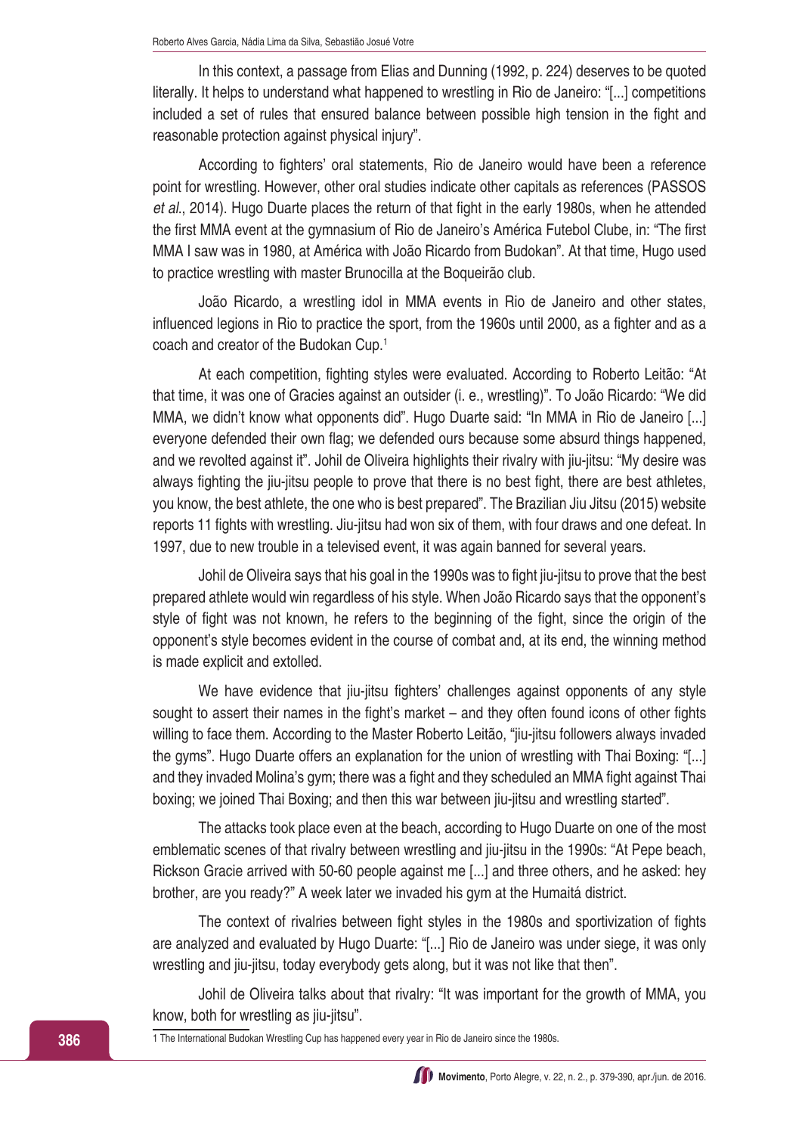In this context, a passage from Elias and Dunning (1992, p. 224) deserves to be quoted literally. It helps to understand what happened to wrestling in Rio de Janeiro: "[...] competitions included a set of rules that ensured balance between possible high tension in the fight and reasonable protection against physical injury".

According to fighters' oral statements, Rio de Janeiro would have been a reference point for wrestling. However, other oral studies indicate other capitals as references (PASSOS *et al*., 2014). Hugo Duarte places the return of that fight in the early 1980s, when he attended the first MMA event at the gymnasium of Rio de Janeiro's América Futebol Clube, in: "The first MMA I saw was in 1980, at América with João Ricardo from Budokan". At that time, Hugo used to practice wrestling with master Brunocilla at the Boqueirão club.

João Ricardo, a wrestling idol in MMA events in Rio de Janeiro and other states, influenced legions in Rio to practice the sport, from the 1960s until 2000, as a fighter and as a coach and creator of the Budokan Cup.1

At each competition, fighting styles were evaluated. According to Roberto Leitão: "At that time, it was one of Gracies against an outsider (i. e., wrestling)". To João Ricardo: "We did MMA, we didn't know what opponents did". Hugo Duarte said: "In MMA in Rio de Janeiro [...] everyone defended their own flag; we defended ours because some absurd things happened, and we revolted against it". Johil de Oliveira highlights their rivalry with jiu-jitsu: "My desire was always fighting the jiu-jitsu people to prove that there is no best fight, there are best athletes, you know, the best athlete, the one who is best prepared". The Brazilian Jiu Jitsu (2015) website reports 11 fights with wrestling. Jiu-jitsu had won six of them, with four draws and one defeat. In 1997, due to new trouble in a televised event, it was again banned for several years.

Johil de Oliveira says that his goal in the 1990s was to fight jiu-jitsu to prove that the best prepared athlete would win regardless of his style. When João Ricardo says that the opponent's style of fight was not known, he refers to the beginning of the fight, since the origin of the opponent's style becomes evident in the course of combat and, at its end, the winning method is made explicit and extolled.

We have evidence that jiu-jitsu fighters' challenges against opponents of any style sought to assert their names in the fight's market – and they often found icons of other fights willing to face them. According to the Master Roberto Leitão, "jiu-jitsu followers always invaded the gyms". Hugo Duarte offers an explanation for the union of wrestling with Thai Boxing: "[...] and they invaded Molina's gym; there was a fight and they scheduled an MMA fight against Thai boxing; we joined Thai Boxing; and then this war between jiu-jitsu and wrestling started".

The attacks took place even at the beach, according to Hugo Duarte on one of the most emblematic scenes of that rivalry between wrestling and jiu-jitsu in the 1990s: "At Pepe beach, Rickson Gracie arrived with 50-60 people against me [...] and three others, and he asked: hey brother, are you ready?" A week later we invaded his gym at the Humaitá district.

The context of rivalries between fight styles in the 1980s and sportivization of fights are analyzed and evaluated by Hugo Duarte: "[...] Rio de Janeiro was under siege, it was only wrestling and jiu-jitsu, today everybody gets along, but it was not like that then".

Johil de Oliveira talks about that rivalry: "It was important for the growth of MMA, you know, both for wrestling as jiu-jitsu".

1 The International Budokan Wrestling Cup has happened every year in Rio de Janeiro since the 1980s.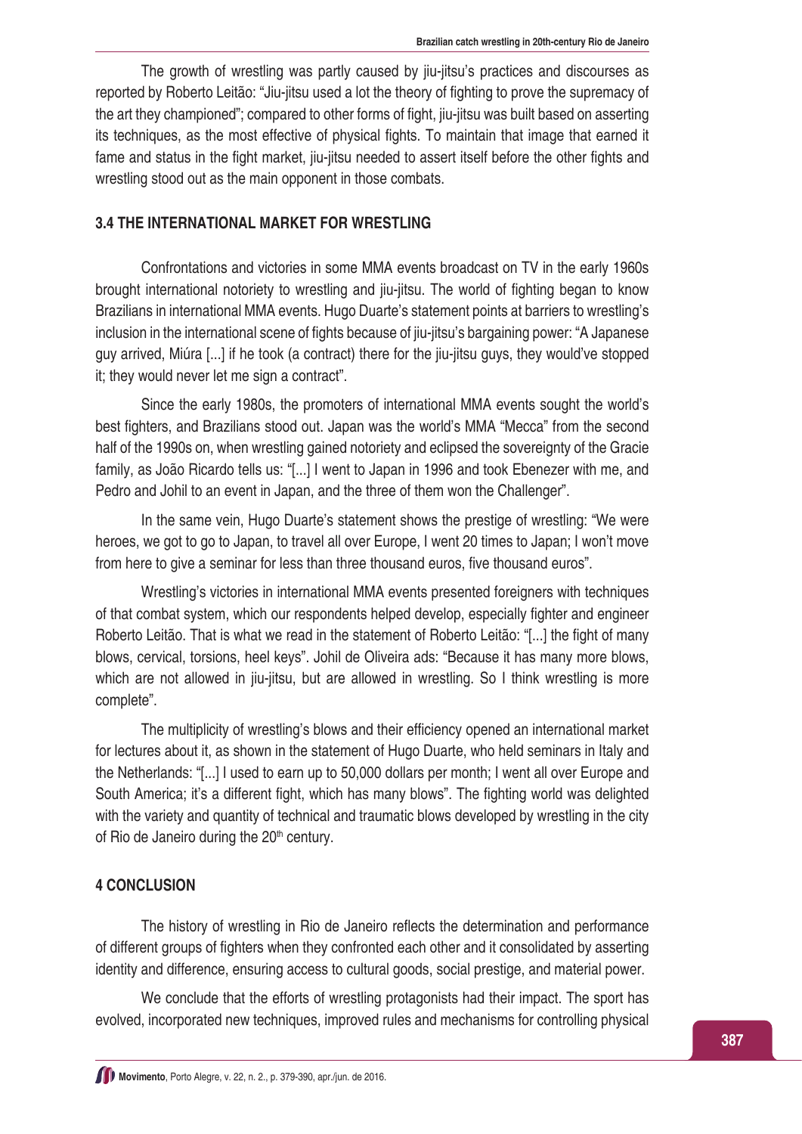The growth of wrestling was partly caused by jiu-jitsu's practices and discourses as reported by Roberto Leitão: "Jiu-jitsu used a lot the theory of fighting to prove the supremacy of the art they championed"; compared to other forms of fight, jiu-jitsu was built based on asserting its techniques, as the most effective of physical fights. To maintain that image that earned it fame and status in the fight market, jiu-jitsu needed to assert itself before the other fights and wrestling stood out as the main opponent in those combats.

#### **3.4 THE INTERNATIONAL MARKET FOR WRESTLING**

Confrontations and victories in some MMA events broadcast on TV in the early 1960s brought international notoriety to wrestling and jiu-jitsu. The world of fighting began to know Brazilians in international MMA events. Hugo Duarte's statement points at barriers to wrestling's inclusion in the international scene of fights because of jiu-jitsu's bargaining power: "A Japanese guy arrived, Miúra [...] if he took (a contract) there for the jiu-jitsu guys, they would've stopped it; they would never let me sign a contract".

Since the early 1980s, the promoters of international MMA events sought the world's best fighters, and Brazilians stood out. Japan was the world's MMA "Mecca" from the second half of the 1990s on, when wrestling gained notoriety and eclipsed the sovereignty of the Gracie family, as João Ricardo tells us: "[...] I went to Japan in 1996 and took Ebenezer with me, and Pedro and Johil to an event in Japan, and the three of them won the Challenger".

In the same vein, Hugo Duarte's statement shows the prestige of wrestling: "We were heroes, we got to go to Japan, to travel all over Europe, I went 20 times to Japan; I won't move from here to give a seminar for less than three thousand euros, five thousand euros".

Wrestling's victories in international MMA events presented foreigners with techniques of that combat system, which our respondents helped develop, especially fighter and engineer Roberto Leitão. That is what we read in the statement of Roberto Leitão: "[...] the fight of many blows, cervical, torsions, heel keys". Johil de Oliveira ads: "Because it has many more blows, which are not allowed in jiu-jitsu, but are allowed in wrestling. So I think wrestling is more complete".

The multiplicity of wrestling's blows and their efficiency opened an international market for lectures about it, as shown in the statement of Hugo Duarte, who held seminars in Italy and the Netherlands: "[...] I used to earn up to 50,000 dollars per month; I went all over Europe and South America; it's a different fight, which has many blows". The fighting world was delighted with the variety and quantity of technical and traumatic blows developed by wrestling in the city of Rio de Janeiro during the  $20<sup>th</sup>$  century.

### **4 CONCLUSION**

The history of wrestling in Rio de Janeiro reflects the determination and performance of different groups of fighters when they confronted each other and it consolidated by asserting identity and difference, ensuring access to cultural goods, social prestige, and material power.

We conclude that the efforts of wrestling protagonists had their impact. The sport has evolved, incorporated new techniques, improved rules and mechanisms for controlling physical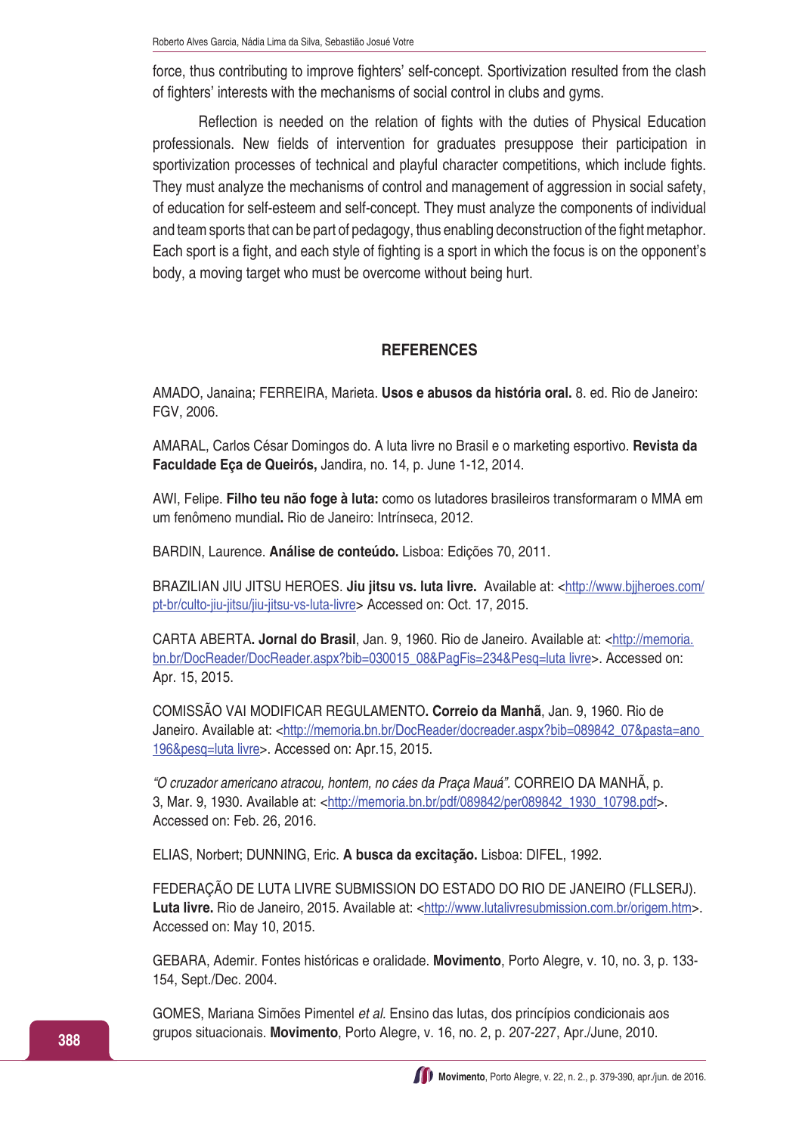force, thus contributing to improve fighters' self-concept. Sportivization resulted from the clash of fighters' interests with the mechanisms of social control in clubs and gyms.

Reflection is needed on the relation of fights with the duties of Physical Education professionals. New fields of intervention for graduates presuppose their participation in sportivization processes of technical and playful character competitions, which include fights. They must analyze the mechanisms of control and management of aggression in social safety, of education for self-esteem and self-concept. They must analyze the components of individual and team sports that can be part of pedagogy, thus enabling deconstruction of the fight metaphor. Each sport is a fight, and each style of fighting is a sport in which the focus is on the opponent's body, a moving target who must be overcome without being hurt.

## **REFERENCES**

AMADO, Janaina; FERREIRA, Marieta. **Usos e abusos da história oral.** 8. ed. Rio de Janeiro: FGV, 2006.

AMARAL, Carlos César Domingos do. A luta livre no Brasil e o marketing esportivo. **Revista da Faculdade Eça de Queirós,** Jandira, no. 14, p. June 1-12, 2014.

AWI, Felipe. **Filho teu não foge à luta:** como os lutadores brasileiros transformaram o MMA em um fenômeno mundial**.** Rio de Janeiro: Intrínseca, 2012.

BARDIN, Laurence. **Análise de conteúdo.** Lisboa: Edições 70, 2011.

BRAZILIAN JIU JITSU HEROES. **Jiu jitsu vs. luta livre.** Available at: <[http://www.bjjheroes.com/](http://www.bjjheroes.com/pt-br/culto-jiu-jitsu/jiu-jitsu-vs-luta-livre) [pt-br/culto-jiu-jitsu/jiu-jitsu-vs-luta-livre](http://www.bjjheroes.com/pt-br/culto-jiu-jitsu/jiu-jitsu-vs-luta-livre)> Accessed on: Oct. 17, 2015.

CARTA ABERTA**. Jornal do Brasil**, Jan. 9, 1960. Rio de Janeiro. Available at: <[http://memoria.](http://memoria.bn.br/DocReader/DocReader.aspx?bib=030015_08&PagFis=234&Pesq=luta livre) [bn.br/DocReader/DocReader.aspx?bib=030015\\_08&PagFis=234&Pesq=luta livre](http://memoria.bn.br/DocReader/DocReader.aspx?bib=030015_08&PagFis=234&Pesq=luta livre)>. Accessed on: Apr. 15, 2015.

COMISSÃO VAI MODIFICAR REGULAMENTO**. Correio da Manhã**, Jan. 9, 1960. Rio de Janeiro. Available at: <http://memoria.bn.br/DocReader/docreader.aspx?bib=089842\_07&pasta=ano [196&pesq=luta livre](http://memoria.bn.br/DocReader/docreader.aspx?bib=089842_07&pasta=ano 196&pesq=luta livre)>. Accessed on: Apr.15, 2015.

*"O cruzador americano atracou, hontem, no cáes da Praça Mauá".* CORREIO DA MANHÃ, p. 3, Mar. 9, 1930. Available at: <[http://memoria.bn.br/pdf/089842/per089842\\_1930\\_10798.pdf](http://memoria.bn.br/pdf/089842/per089842_1930_10798.pdf)>. Accessed on: Feb. 26, 2016.

ELIAS, Norbert; DUNNING, Eric. **A busca da excitação.** Lisboa: DIFEL, 1992.

FEDERAÇÃO DE LUTA LIVRE SUBMISSION DO ESTADO DO RIO DE JANEIRO (FLLSERJ). Luta livre. Rio de Janeiro, 2015. Available at: [<http://www.lutalivresubmission.com.br/origem.htm>](http://www.lutalivresubmission.com.br/origem.htm). Accessed on: May 10, 2015.

GEBARA, Ademir. Fontes históricas e oralidade. **Movimento**, Porto Alegre, [v. 10, no. 3, p. 133-](http://seer.ufrgs.br/index.php/Movimento/issue/view/220) [154, Sept./Dec. 2004.](http://seer.ufrgs.br/index.php/Movimento/issue/view/220) 

GOMES, Mariana Simões Pimentel *et al.* Ensino das lutas, dos princípios condicionais aos grupos situacionais. **Movimento**, Porto Alegre, v. 16, no. 2, p. 207-227, Apr./June, 2010.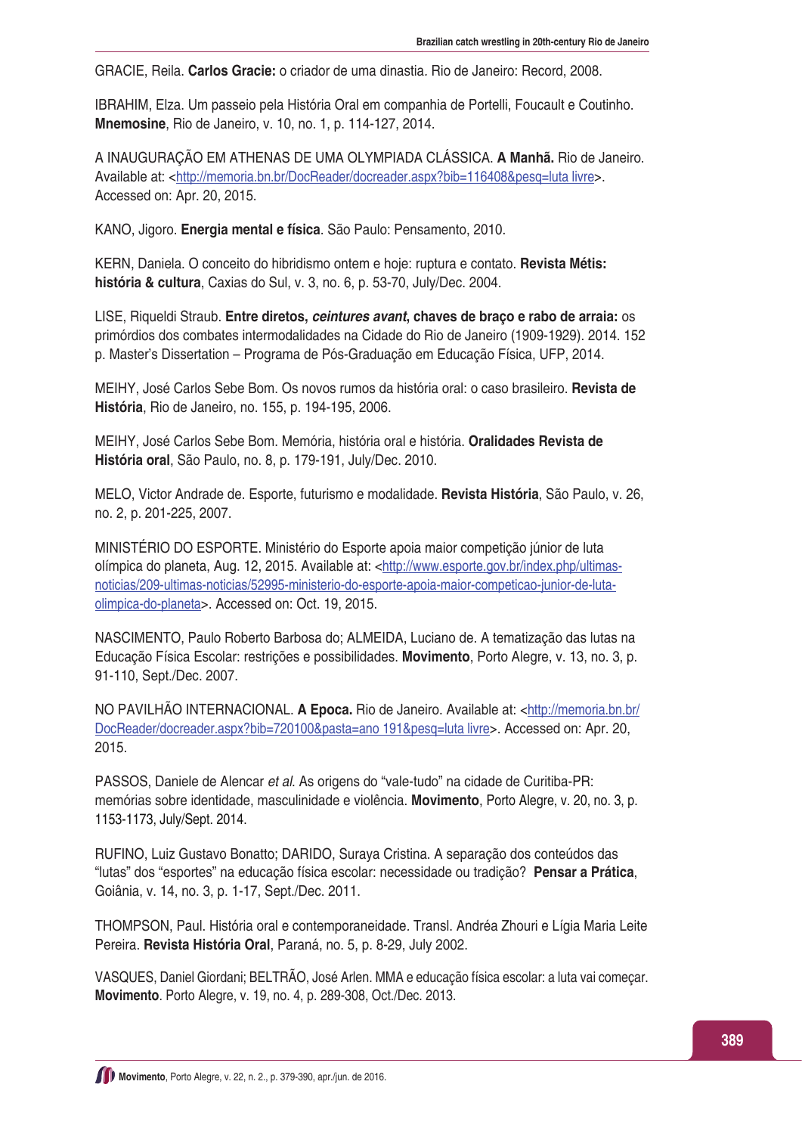GRACIE, Reila. **Carlos Gracie:** o criador de uma dinastia*.* Rio de Janeiro: Record, 2008.

IBRAHIM, Elza. Um passeio pela História Oral em companhia de Portelli, Foucault e Coutinho. **Mnemosine**, Rio de Janeiro, v. 10, no. 1, p. 114-127, 2014.

A INAUGURAÇÃO EM ATHENAS DE UMA OLYMPIADA CLÁSSICA. **A Manhã.** Rio de Janeiro. Available at: <<http://memoria.bn.br/DocReader/docreader.aspx?bib=116408&pesq=luta livre>>. Accessed on: Apr. 20, 2015.

KANO, Jigoro. **Energia mental e física**. São Paulo: Pensamento, 2010.

KERN, Daniela. O conceito do hibridismo ontem e hoje: ruptura e contato. **Revista Métis: história & cultura**, Caxias do Sul, v. 3, no. 6, p. 53-70, July/Dec. 2004.

LISE, Riqueldi Straub. **Entre diretos,** *ceintures avant***, chaves de braço e rabo de arraia:** os primórdios dos combates intermodalidades na Cidade do Rio de Janeiro (1909-1929). 2014. 152 p. Master's Dissertation – Programa de Pós-Graduação em Educação Física, UFP, 2014.

MEIHY, José Carlos Sebe Bom. Os novos rumos da história oral: o caso brasileiro. **Revista de História**, Rio de Janeiro, no. 155, p. 194-195, 2006.

MEIHY, José Carlos Sebe Bom. Memória, história oral e história. **Oralidades Revista de História oral**, São Paulo, no. 8, p. 179-191, July/Dec. 2010.

MELO, Victor Andrade de. Esporte, futurismo e modalidade. **Revista História**, São Paulo, v. 26, no. 2, p. 201-225, 2007.

MINISTÉRIO DO ESPORTE. Ministério do Esporte apoia maior competição júnior de luta olímpica do planeta, Aug. 12, 2015. Available at: <[http://www.esporte.gov.br/index.php/ultimas](http://www.esporte.gov.br/index.php/ultimas-noticias/209-ultimas-noticias/52995-ministerio-do-esporte-apoia-maior-competicao-junior-de-luta-olimpica-do-planeta)[noticias/209-ultimas-noticias/52995-ministerio-do-esporte-apoia-maior-competicao-junior-de-luta](http://www.esporte.gov.br/index.php/ultimas-noticias/209-ultimas-noticias/52995-ministerio-do-esporte-apoia-maior-competicao-junior-de-luta-olimpica-do-planeta)[olimpica-do-planeta](http://www.esporte.gov.br/index.php/ultimas-noticias/209-ultimas-noticias/52995-ministerio-do-esporte-apoia-maior-competicao-junior-de-luta-olimpica-do-planeta)>. Accessed on: Oct. 19, 2015.

NASCIMENTO, Paulo Roberto Barbosa do; ALMEIDA, Luciano de. A tematização das lutas na Educação Física Escolar: restrições e possibilidades. **Movimento**, Porto Alegre, v. 13, no. 3, p. 91-110, Sept./Dec. 2007.

NO PAVILHÃO INTERNACIONAL. **A Epoca.** Rio de Janeiro. Available at: <[http://memoria.bn.br/](http://memoria.bn.br/DocReader/docreader.aspx?bib=720100&pasta=ano 191&pesq=luta livre) [DocReader/docreader.aspx?bib=720100&pasta=ano 191&pesq=luta livre](http://memoria.bn.br/DocReader/docreader.aspx?bib=720100&pasta=ano 191&pesq=luta livre)>. Accessed on: Apr. 20, 2015.

PASSOS, Daniele de Alencar *et al*. As origens do "vale-tudo" na cidade de Curitiba-PR: memórias sobre identidade, masculinidade e violência. **Movimento**, Porto Alegre, v. 20, no. 3, p. 1153-1173, July/Sept. 2014.

RUFINO, Luiz Gustavo Bonatto; DARIDO, Suraya Cristina. A separação dos conteúdos das "lutas" dos "esportes" na educação física escolar: necessidade ou tradição? **Pensar a Prática**, Goiânia, v. 14, no. 3, p. 1-17, Sept./Dec. 2011.

THOMPSON, Paul. História oral e contemporaneidade*.* Transl. Andréa Zhouri e Lígia Maria Leite Pereira. **Revista História Oral**, Paraná, no. 5, p. 8-29, July 2002.

VASQUES, Daniel Giordani; BELTRÃO, José Arlen. MMA e educação física escolar: a luta vai começar. **Movimento**. Porto Alegre, v. 19, no. 4, p. 289-308, Oct./Dec. 2013.